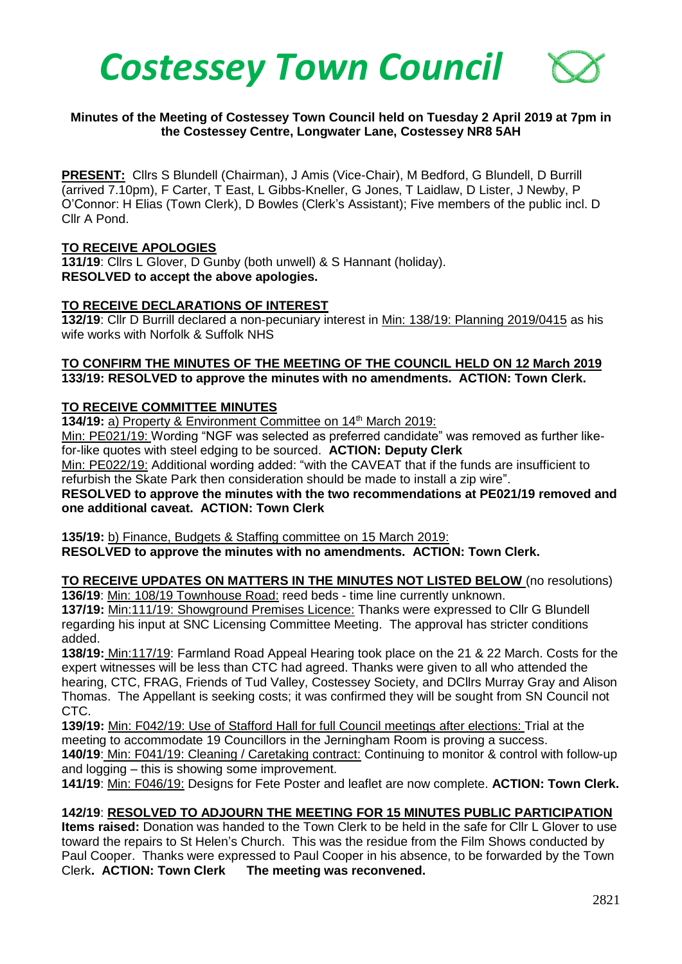

### **Minutes of the Meeting of Costessey Town Council held on Tuesday 2 April 2019 at 7pm in the Costessey Centre, Longwater Lane, Costessey NR8 5AH**

**PRESENT:** Cllrs S Blundell (Chairman), J Amis (Vice-Chair), M Bedford, G Blundell, D Burrill (arrived 7.10pm), F Carter, T East, L Gibbs-Kneller, G Jones, T Laidlaw, D Lister, J Newby, P O'Connor: H Elias (Town Clerk), D Bowles (Clerk's Assistant); Five members of the public incl. D Cllr A Pond.

### **TO RECEIVE APOLOGIES**

**131/19**: Cllrs L Glover, D Gunby (both unwell) & S Hannant (holiday). **RESOLVED to accept the above apologies.** 

#### **TO RECEIVE DECLARATIONS OF INTEREST**

**132/19**: Cllr D Burrill declared a non-pecuniary interest in Min: 138/19: Planning 2019/0415 as his wife works with Norfolk & Suffolk NHS

#### **TO CONFIRM THE MINUTES OF THE MEETING OF THE COUNCIL HELD ON 12 March 2019 133/19: RESOLVED to approve the minutes with no amendments. ACTION: Town Clerk.**

### **TO RECEIVE COMMITTEE MINUTES**

**134/19:** a) Property & Environment Committee on 14<sup>th</sup> March 2019:

Min: PE021/19: Wording "NGF was selected as preferred candidate" was removed as further likefor-like quotes with steel edging to be sourced. **ACTION: Deputy Clerk**

Min: PE022/19: Additional wording added: "with the CAVEAT that if the funds are insufficient to refurbish the Skate Park then consideration should be made to install a zip wire".

**RESOLVED to approve the minutes with the two recommendations at PE021/19 removed and one additional caveat. ACTION: Town Clerk**

**135/19:** b) Finance, Budgets & Staffing committee on 15 March 2019: **RESOLVED to approve the minutes with no amendments. ACTION: Town Clerk.**

**TO RECEIVE UPDATES ON MATTERS IN THE MINUTES NOT LISTED BELOW** (no resolutions) **136/19**: Min: 108/19 Townhouse Road: reed beds - time line currently unknown.

**137/19:** Min:111/19: Showground Premises Licence: Thanks were expressed to Cllr G Blundell regarding his input at SNC Licensing Committee Meeting. The approval has stricter conditions added.

**138/19:** Min:117/19: Farmland Road Appeal Hearing took place on the 21 & 22 March. Costs for the expert witnesses will be less than CTC had agreed. Thanks were given to all who attended the hearing, CTC, FRAG, Friends of Tud Valley, Costessey Society, and DCllrs Murray Gray and Alison Thomas. The Appellant is seeking costs; it was confirmed they will be sought from SN Council not CTC.

**139/19:** Min: F042/19: Use of Stafford Hall for full Council meetings after elections: Trial at the meeting to accommodate 19 Councillors in the Jerningham Room is proving a success. **140/19**: Min: F041/19: Cleaning / Caretaking contract: Continuing to monitor & control with follow-up and logging – this is showing some improvement.

**141/19**: Min: F046/19: Designs for Fete Poster and leaflet are now complete. **ACTION: Town Clerk.**

### **142/19**: **RESOLVED TO ADJOURN THE MEETING FOR 15 MINUTES PUBLIC PARTICIPATION**

**Items raised:** Donation was handed to the Town Clerk to be held in the safe for Cllr L Glover to use toward the repairs to St Helen's Church. This was the residue from the Film Shows conducted by Paul Cooper. Thanks were expressed to Paul Cooper in his absence, to be forwarded by the Town Clerk**. ACTION: Town Clerk The meeting was reconvened.**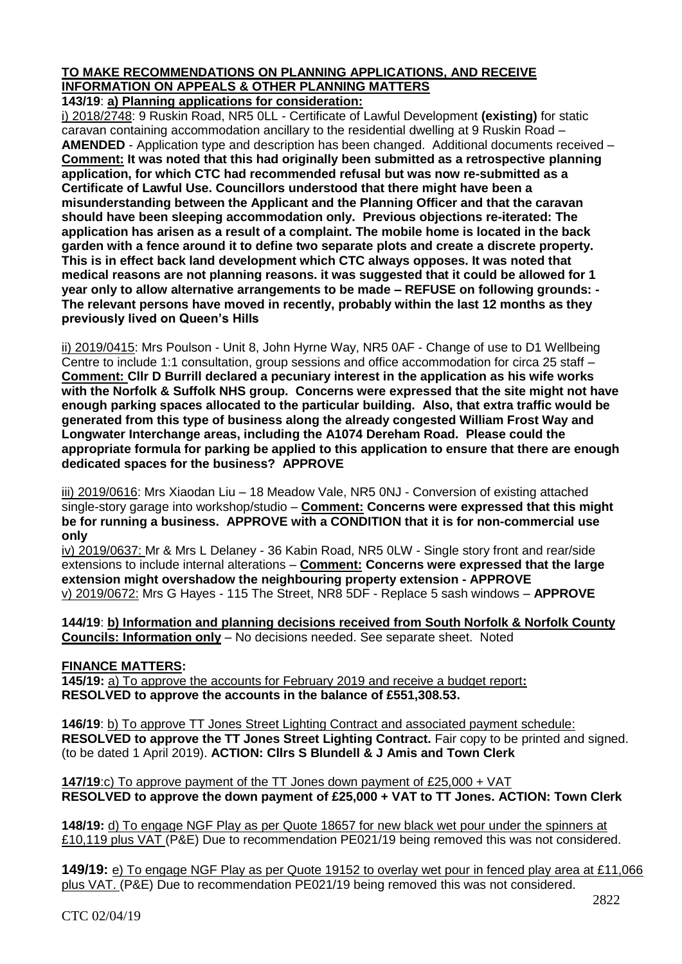# **TO MAKE RECOMMENDATIONS ON PLANNING APPLICATIONS, AND RECEIVE INFORMATION ON APPEALS & OTHER PLANNING MATTERS**

**143/19**: **a) Planning applications for consideration:**

i) 2018/2748: 9 Ruskin Road, NR5 0LL - Certificate of Lawful Development **(existing)** for static caravan containing accommodation ancillary to the residential dwelling at 9 Ruskin Road – **AMENDED** - Application type and description has been changed. Additional documents received – **Comment: It was noted that this had originally been submitted as a retrospective planning application, for which CTC had recommended refusal but was now re-submitted as a Certificate of Lawful Use. Councillors understood that there might have been a misunderstanding between the Applicant and the Planning Officer and that the caravan should have been sleeping accommodation only. Previous objections re-iterated: The application has arisen as a result of a complaint. The mobile home is located in the back garden with a fence around it to define two separate plots and create a discrete property. This is in effect back land development which CTC always opposes. It was noted that medical reasons are not planning reasons. it was suggested that it could be allowed for 1 year only to allow alternative arrangements to be made – REFUSE on following grounds: - The relevant persons have moved in recently, probably within the last 12 months as they previously lived on Queen's Hills**

ii) 2019/0415: Mrs Poulson - Unit 8, John Hyrne Way, NR5 0AF - Change of use to D1 Wellbeing Centre to include 1:1 consultation, group sessions and office accommodation for circa 25 staff – **Comment: Cllr D Burrill declared a pecuniary interest in the application as his wife works with the Norfolk & Suffolk NHS group. Concerns were expressed that the site might not have enough parking spaces allocated to the particular building. Also, that extra traffic would be generated from this type of business along the already congested William Frost Way and Longwater Interchange areas, including the A1074 Dereham Road. Please could the appropriate formula for parking be applied to this application to ensure that there are enough dedicated spaces for the business? APPROVE** 

iii) 2019/0616: Mrs Xiaodan Liu - 18 Meadow Vale, NR5 0NJ - Conversion of existing attached single-story garage into workshop/studio – **Comment: Concerns were expressed that this might be for running a business. APPROVE with a CONDITION that it is for non-commercial use only**

iv) 2019/0637: Mr & Mrs L Delaney - 36 Kabin Road, NR5 0LW - Single story front and rear/side extensions to include internal alterations – **Comment: Concerns were expressed that the large extension might overshadow the neighbouring property extension - APPROVE** v) 2019/0672: Mrs G Hayes - 115 The Street, NR8 5DF - Replace 5 sash windows – **APPROVE**

**144/19**: **b) Information and planning decisions received from South Norfolk & Norfolk County Councils: Information only** – No decisions needed. See separate sheet. Noted

## **FINANCE MATTERS:**

**145/19:** a) To approve the accounts for February 2019 and receive a budget report**: RESOLVED to approve the accounts in the balance of £551,308.53.** 

**146/19**: b) To approve TT Jones Street Lighting Contract and associated payment schedule: **RESOLVED to approve the TT Jones Street Lighting Contract.** Fair copy to be printed and signed. (to be dated 1 April 2019). **ACTION: Cllrs S Blundell & J Amis and Town Clerk**

**147/19**:c) To approve payment of the TT Jones down payment of £25,000 + VAT **RESOLVED to approve the down payment of £25,000 + VAT to TT Jones. ACTION: Town Clerk**

**148/19:** d) To engage NGF Play as per Quote 18657 for new black wet pour under the spinners at £10,119 plus VAT (P&E) Due to recommendation PE021/19 being removed this was not considered.

**149/19:** e) To engage NGF Play as per Quote 19152 to overlay wet pour in fenced play area at £11,066 plus VAT. (P&E) Due to recommendation PE021/19 being removed this was not considered.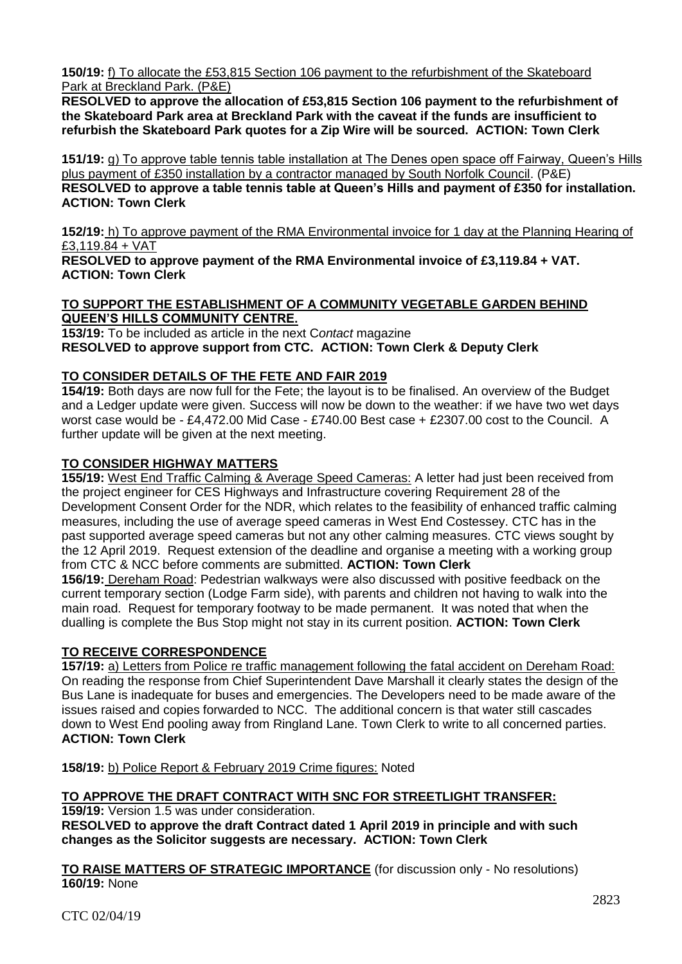**150/19:** f) To allocate the £53,815 Section 106 payment to the refurbishment of the Skateboard Park at Breckland Park. (P&E)

**RESOLVED to approve the allocation of £53,815 Section 106 payment to the refurbishment of the Skateboard Park area at Breckland Park with the caveat if the funds are insufficient to refurbish the Skateboard Park quotes for a Zip Wire will be sourced. ACTION: Town Clerk**

**151/19:** g) To approve table tennis table installation at The Denes open space off Fairway, Queen's Hills plus payment of £350 installation by a contractor managed by South Norfolk Council. (P&E) **RESOLVED to approve a table tennis table at Queen's Hills and payment of £350 for installation. ACTION: Town Clerk**

**152/19:** h) To approve payment of the RMA Environmental invoice for 1 day at the Planning Hearing of £3,119.84 + VAT

**RESOLVED to approve payment of the RMA Environmental invoice of £3,119.84 + VAT. ACTION: Town Clerk**

### **TO SUPPORT THE ESTABLISHMENT OF A COMMUNITY VEGETABLE GARDEN BEHIND QUEEN'S HILLS COMMUNITY CENTRE.**

**153/19:** To be included as article in the next C*ontact* magazine **RESOLVED to approve support from CTC. ACTION: Town Clerk & Deputy Clerk**

## **TO CONSIDER DETAILS OF THE FETE AND FAIR 2019**

**154/19:** Both days are now full for the Fete; the layout is to be finalised. An overview of the Budget and a Ledger update were given. Success will now be down to the weather: if we have two wet days worst case would be - £4,472.00 Mid Case - £740.00 Best case + £2307.00 cost to the Council. A further update will be given at the next meeting.

## **TO CONSIDER HIGHWAY MATTERS**

**155/19:** West End Traffic Calming & Average Speed Cameras: A letter had just been received from the project engineer for CES Highways and Infrastructure covering Requirement 28 of the Development Consent Order for the NDR, which relates to the feasibility of enhanced traffic calming measures, including the use of average speed cameras in West End Costessey. CTC has in the past supported average speed cameras but not any other calming measures. CTC views sought by the 12 April 2019. Request extension of the deadline and organise a meeting with a working group from CTC & NCC before comments are submitted. **ACTION: Town Clerk**

**156/19:** Dereham Road: Pedestrian walkways were also discussed with positive feedback on the current temporary section (Lodge Farm side), with parents and children not having to walk into the main road. Request for temporary footway to be made permanent. It was noted that when the dualling is complete the Bus Stop might not stay in its current position. **ACTION: Town Clerk**

## **TO RECEIVE CORRESPONDENCE**

**157/19:** a) Letters from Police re traffic management following the fatal accident on Dereham Road: On reading the response from Chief Superintendent Dave Marshall it clearly states the design of the Bus Lane is inadequate for buses and emergencies. The Developers need to be made aware of the issues raised and copies forwarded to NCC. The additional concern is that water still cascades down to West End pooling away from Ringland Lane. Town Clerk to write to all concerned parties. **ACTION: Town Clerk**

**158/19:** b) Police Report & February 2019 Crime figures: Noted

### **TO APPROVE THE DRAFT CONTRACT WITH SNC FOR STREETLIGHT TRANSFER:**

**159/19:** Version 1.5 was under consideration.

**RESOLVED to approve the draft Contract dated 1 April 2019 in principle and with such changes as the Solicitor suggests are necessary. ACTION: Town Clerk**

**TO RAISE MATTERS OF STRATEGIC IMPORTANCE** (for discussion only - No resolutions) **160/19:** None